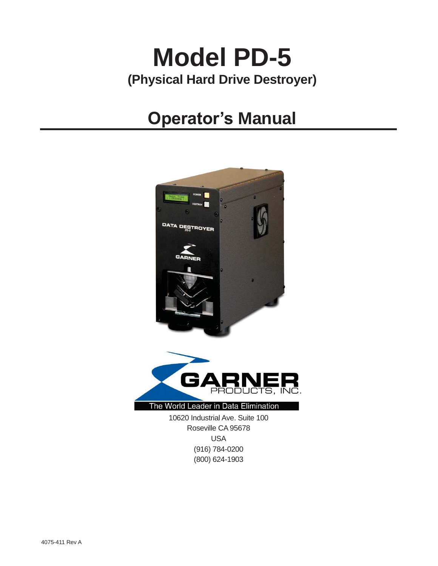# **Model PD-5 (Physical Hard Drive Destroyer)**

# **Operator's Manual**



USA (916) 784-0200 (800) 624-1903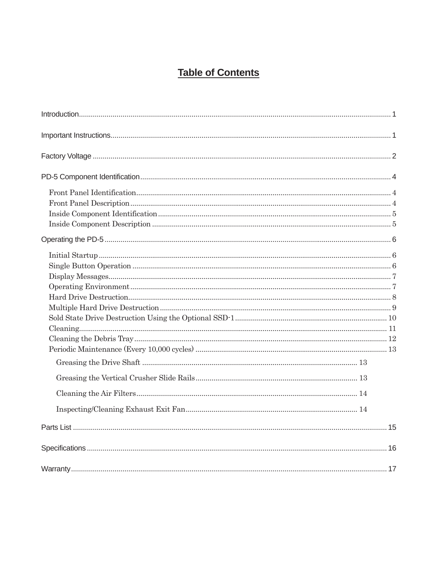## **Table of Contents**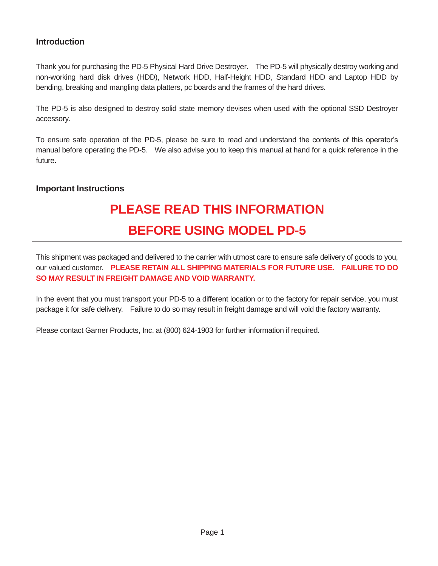#### **Introduction**

Thank you for purchasing the PD-5 Physical Hard Drive Destroyer. The PD-5 will physically destroy working and non-working hard disk drives (HDD), Network HDD, Half-Height HDD, Standard HDD and Laptop HDD by bending, breaking and mangling data platters, pc boards and the frames of the hard drives.

The PD-5 is also designed to destroy solid state memory devises when used with the optional SSD Destroyer accessory.

To ensure safe operation of the PD-5, please be sure to read and understand the contents of this operator's manual before operating the PD-5. We also advise you to keep this manual at hand for a quick reference in the future.

#### **Important Instructions**

## **PLEASE READ THIS INFORMATION BEFORE USING MODEL PD-5**

This shipment was packaged and delivered to the carrier with utmost care to ensure safe delivery of goods to you, our valued customer. **PLEASE RETAIN ALL SHIPPING MATERIALS FOR FUTURE USE. FAILURE TO DO SO MAY RESULT IN FREIGHT DAMAGE AND VOID WARRANTY.** 

In the event that you must transport your PD-5 to a different location or to the factory for repair service, you must package it for safe delivery. Failure to do so may result in freight damage and will void the factory warranty.

Please contact Garner Products, Inc. at (800) 624-1903 for further information if required.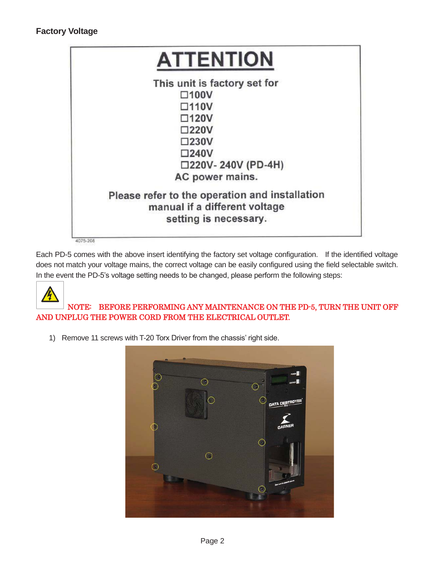

Each PD-5 comes with the above insert identifying the factory set voltage configuration. If the identified voltage does not match your voltage mains, the correct voltage can be easily configured using the field selectable switch. In the event the PD-5's voltage setting needs to be changed, please perform the following steps:



 NOTE: BEFORE PERFORMING ANY MAINTENANCE ON THE PD-5, TURN THE UNIT OFF AND UNPLUG THE POWER CORD FROM THE ELECTRICAL OUTLET.

1) Remove 11 screws with T-20 Torx Driver from the chassis' right side.

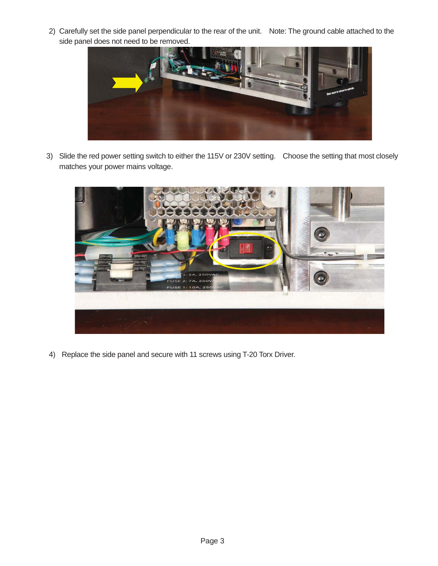2) Carefully set the side panel perpendicular to the rear of the unit. Note: The ground cable attached to the side panel does not need to be removed.



3) Slide the red power setting switch to either the 115V or 230V setting. Choose the setting that most closely matches your power mains voltage.



4) Replace the side panel and secure with 11 screws using T-20 Torx Driver.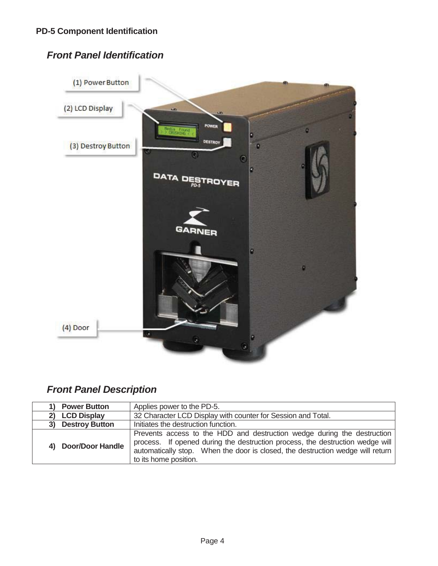## *Front Panel Identification*



## *Front Panel Description*

| <b>Power Button</b>         | Applies power to the PD-5.                                                                                                                                                                                                                                          |  |
|-----------------------------|---------------------------------------------------------------------------------------------------------------------------------------------------------------------------------------------------------------------------------------------------------------------|--|
| <b>LCD Display</b>          | 32 Character LCD Display with counter for Session and Total.                                                                                                                                                                                                        |  |
| <b>Destroy Button</b><br>3) | Initiates the destruction function.                                                                                                                                                                                                                                 |  |
| 4) Door/Door Handle         | Prevents access to the HDD and destruction wedge during the destruction<br>process. If opened during the destruction process, the destruction wedge will<br>automatically stop. When the door is closed, the destruction wedge will return<br>to its home position. |  |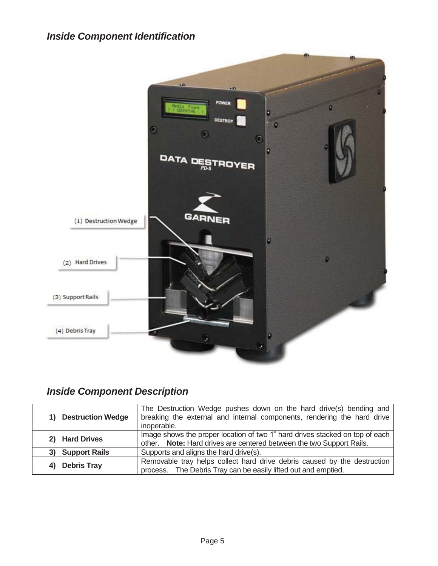

## *Inside Component Description*

| 1) Destruction Wedge     | The Destruction Wedge pushes down on the hard drive(s) bending and<br>breaking the external and internal components, rendering the hard drive<br>inoperable. |  |
|--------------------------|--------------------------------------------------------------------------------------------------------------------------------------------------------------|--|
| 2) Hard Drives           | Image shows the proper location of two 1" hard drives stacked on top of each<br>other. Note: Hard drives are centered between the two Support Rails.         |  |
| 3) Support Rails         | Supports and aligns the hard drive(s).                                                                                                                       |  |
| <b>Debris Tray</b><br>4) | Removable tray helps collect hard drive debris caused by the destruction<br>process. The Debris Tray can be easily lifted out and emptied.                   |  |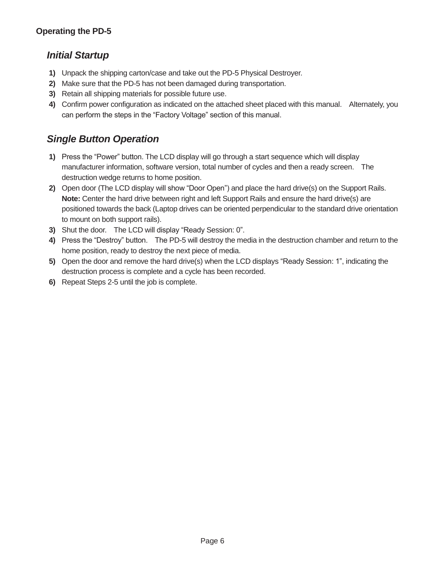#### *Initial Startup*

- **1)** Unpack the shipping carton/case and take out the PD-5 Physical Destroyer.
- **2)** Make sure that the PD-5 has not been damaged during transportation.
- **3)** Retain all shipping materials for possible future use.
- **4)** Confirm power configuration as indicated on the attached sheet placed with this manual. Alternately, you can perform the steps in the "Factory Voltage" section of this manual.

## *Single Button Operation*

- **1)** Press the "Power" button. The LCD display will go through a start sequence which will display manufacturer information, software version, total number of cycles and then a ready screen. The destruction wedge returns to home position.
- **2)** Open door (The LCD display will show "Door Open") and place the hard drive(s) on the Support Rails. **Note:** Center the hard drive between right and left Support Rails and ensure the hard drive(s) are positioned towards the back (Laptop drives can be oriented perpendicular to the standard drive orientation to mount on both support rails).
- **3)** Shut the door. The LCD will display "Ready Session: 0".
- **4)** Press the "Destroy" button. The PD-5 will destroy the media in the destruction chamber and return to the home position, ready to destroy the next piece of media.
- **5)** Open the door and remove the hard drive(s) when the LCD displays "Ready Session: 1", indicating the destruction process is complete and a cycle has been recorded.
- **6)** Repeat Steps 2-5 until the job is complete.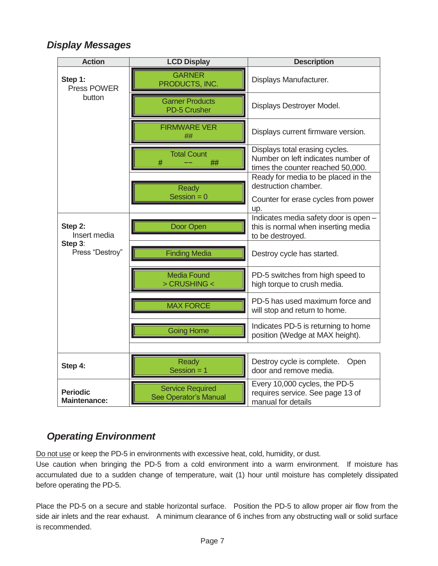### *Display Messages*

| <b>Action</b>                                         | <b>LCD Display</b>                               | <b>Description</b>                                                                                        |
|-------------------------------------------------------|--------------------------------------------------|-----------------------------------------------------------------------------------------------------------|
| Step 1:<br>Press POWER<br>button                      | <b>GARNER</b><br>PRODUCTS, INC.                  | Displays Manufacturer.                                                                                    |
|                                                       | <b>Garner Products</b><br><b>PD-5 Crusher</b>    | Displays Destroyer Model.                                                                                 |
|                                                       | <b>FIRMWARE VER</b><br>##                        | Displays current firmware version.                                                                        |
|                                                       | <b>Total Count</b><br>#<br>##                    | Displays total erasing cycles.<br>Number on left indicates number of<br>times the counter reached 50,000. |
|                                                       | Ready                                            | Ready for media to be placed in the<br>destruction chamber.                                               |
|                                                       | Session = $0$                                    | Counter for erase cycles from power<br>up.                                                                |
| Step 2:<br>Insert media<br>Step 3:<br>Press "Destroy" | Door Open                                        | Indicates media safety door is open -<br>this is normal when inserting media<br>to be destroyed.          |
|                                                       | <b>Finding Media</b>                             | Destroy cycle has started.                                                                                |
|                                                       | <b>Media Found</b><br>> CRUSHING <               | PD-5 switches from high speed to<br>high torque to crush media.                                           |
|                                                       | <b>MAX FORCE</b>                                 | PD-5 has used maximum force and<br>will stop and return to home.                                          |
|                                                       | <b>Going Home</b>                                | Indicates PD-5 is returning to home<br>position (Wedge at MAX height).                                    |
|                                                       |                                                  |                                                                                                           |
| Step 4:                                               | Ready<br>Session $= 1$                           | Destroy cycle is complete.<br>Open<br>door and remove media.                                              |
| <b>Periodic</b><br><b>Maintenance:</b>                | <b>Service Required</b><br>See Operator's Manual | Every 10,000 cycles, the PD-5<br>requires service. See page 13 of<br>manual for details                   |

### *Operating Environment*

Do not use or keep the PD-5 in environments with excessive heat, cold, humidity, or dust.

Use caution when bringing the PD-5 from a cold environment into a warm environment. If moisture has accumulated due to a sudden change of temperature, wait (1) hour until moisture has completely dissipated before operating the PD-5.

Place the PD-5 on a secure and stable horizontal surface. Position the PD-5 to allow proper air flow from the side air inlets and the rear exhaust. A minimum clearance of 6 inches from any obstructing wall or solid surface is recommended.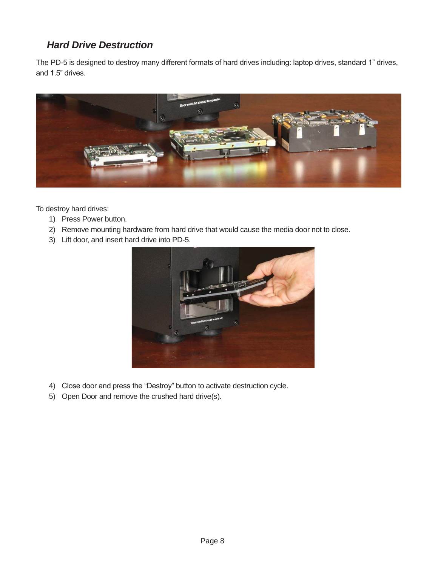## *Hard Drive Destruction*

The PD-5 is designed to destroy many different formats of hard drives including: laptop drives, standard 1" drives, and 1.5" drives.



To destroy hard drives:

- 1) Press Power button.
- 2) Remove mounting hardware from hard drive that would cause the media door not to close.
- 3) Lift door, and insert hard drive into PD-5.



- 4) Close door and press the "Destroy" button to activate destruction cycle.
- 5) Open Door and remove the crushed hard drive(s).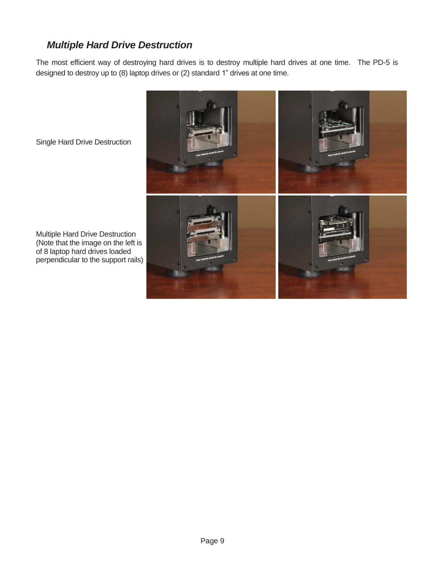## *Multiple Hard Drive Destruction*

The most efficient way of destroying hard drives is to destroy multiple hard drives at one time. The PD-5 is designed to destroy up to (8) laptop drives or (2) standard 1" drives at one time.



Single Hard Drive Destruction

Multiple Hard Drive Destruction (Note that the image on the left is of 8 laptop hard drives loaded perpendicular to the support rails)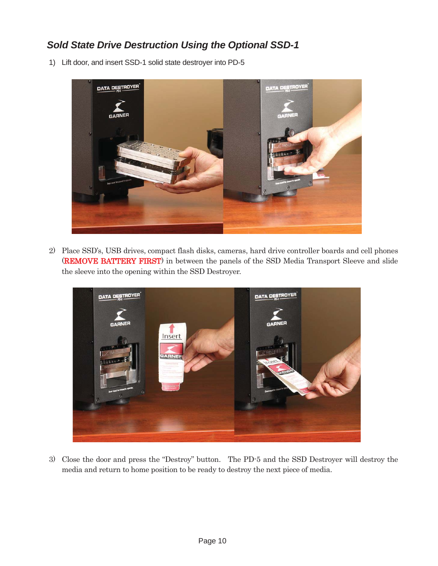## *Sold State Drive Destruction Using the Optional SSD-1*

1) Lift door, and insert SSD-1 solid state destroyer into PD-5



2) Place SSD's, USB drives, compact flash disks, cameras, hard drive controller boards and cell phones (REMOVE BATTERY FIRST) in between the panels of the SSD Media Transport Sleeve and slide the sleeve into the opening within the SSD Destroyer.



3) Close the door and press the "Destroy" button. The PD-5 and the SSD Destroyer will destroy the media and return to home position to be ready to destroy the next piece of media.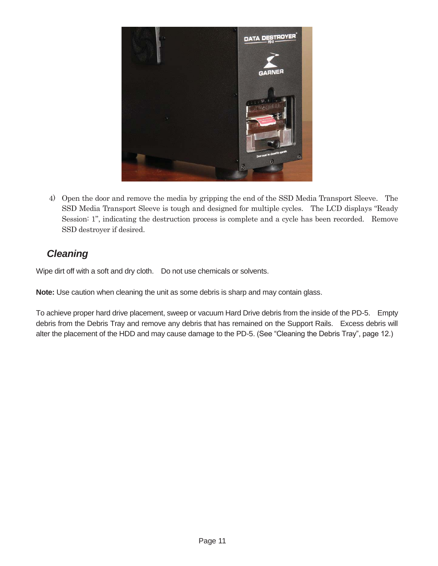

4) Open the door and remove the media by gripping the end of the SSD Media Transport Sleeve. The SSD Media Transport Sleeve is tough and designed for multiple cycles. The LCD displays "Ready Session: 1", indicating the destruction process is complete and a cycle has been recorded. Remove SSD destroyer if desired.

### *Cleaning*

Wipe dirt off with a soft and dry cloth. Do not use chemicals or solvents.

**Note:** Use caution when cleaning the unit as some debris is sharp and may contain glass.

To achieve proper hard drive placement, sweep or vacuum Hard Drive debris from the inside of the PD-5. Empty debris from the Debris Tray and remove any debris that has remained on the Support Rails. Excess debris will alter the placement of the HDD and may cause damage to the PD-5. (See "Cleaning the Debris Tray", page 12.)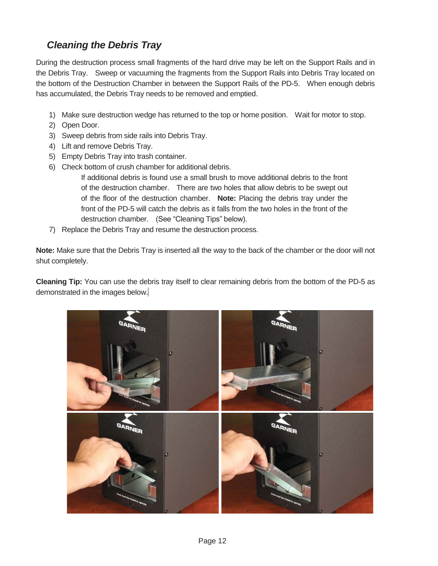## *Cleaning the Debris Tray*

During the destruction process small fragments of the hard drive may be left on the Support Rails and in the Debris Tray. Sweep or vacuuming the fragments from the Support Rails into Debris Tray located on the bottom of the Destruction Chamber in between the Support Rails of the PD-5. When enough debris has accumulated, the Debris Tray needs to be removed and emptied.

- 1) Make sure destruction wedge has returned to the top or home position. Wait for motor to stop.
- 2) Open Door.
- 3) Sweep debris from side rails into Debris Tray.
- 4) Lift and remove Debris Tray.
- 5) Empty Debris Tray into trash container.
- 6) Check bottom of crush chamber for additional debris.

If additional debris is found use a small brush to move additional debris to the front of the destruction chamber. There are two holes that allow debris to be swept out of the floor of the destruction chamber. **Note:** Placing the debris tray under the front of the PD-5 will catch the debris as it falls from the two holes in the front of the destruction chamber. (See "Cleaning Tips" below).

7) Replace the Debris Tray and resume the destruction process.

**Note:** Make sure that the Debris Tray is inserted all the way to the back of the chamber or the door will not shut completely.

**Cleaning Tip:** You can use the debris tray itself to clear remaining debris from the bottom of the PD-5 as demonstrated in the images below.

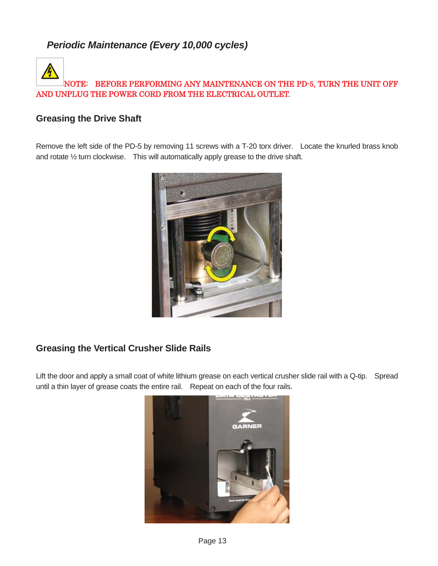## *Periodic Maintenance (Every 10,000 cycles)*

## NOTE: BEFORE PERFORMING ANY MAINTENANCE ON THE PD-5, TURN THE UNIT OFF AND UNPLUG THE POWER CORD FROM THE ELECTRICAL OUTLET.

#### **Greasing the Drive Shaft**

Remove the left side of the PD-5 by removing 11 screws with a T-20 torx driver. Locate the knurled brass knob and rotate ½ turn clockwise. This will automatically apply grease to the drive shaft.



#### **Greasing the Vertical Crusher Slide Rails**

Lift the door and apply a small coat of white lithium grease on each vertical crusher slide rail with a Q-tip. Spread until a thin layer of grease coats the entire rail. Repeat on each of the four rails.

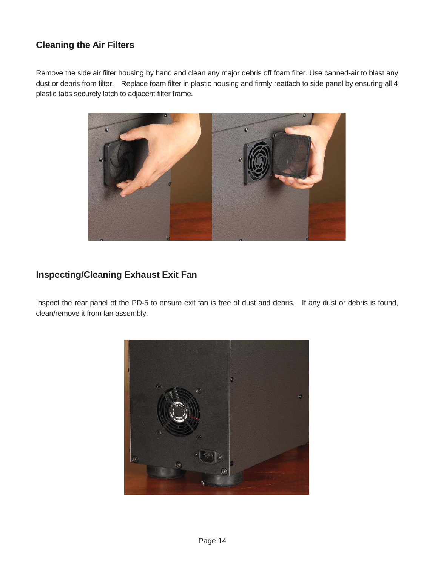#### **Cleaning the Air Filters**

Remove the side air filter housing by hand and clean any major debris off foam filter. Use canned-air to blast any dust or debris from filter. Replace foam filter in plastic housing and firmly reattach to side panel by ensuring all 4 plastic tabs securely latch to adjacent filter frame.



#### **Inspecting/Cleaning Exhaust Exit Fan**

Inspect the rear panel of the PD-5 to ensure exit fan is free of dust and debris. If any dust or debris is found, clean/remove it from fan assembly.

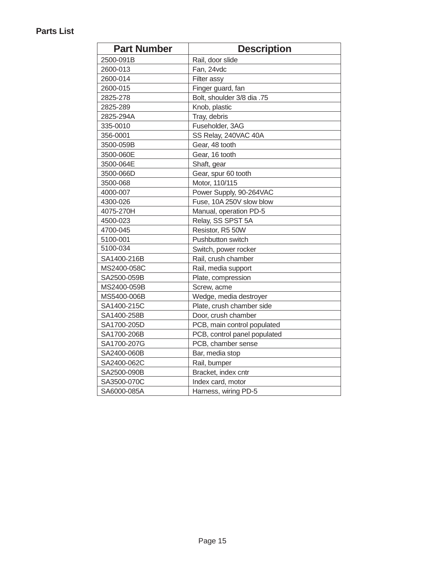#### **Parts List**

| <b>Part Number</b> | <b>Description</b>           |
|--------------------|------------------------------|
| 2500-091B          | Rail, door slide             |
| 2600-013           | Fan, 24vdc                   |
| 2600-014           | Filter assy                  |
| 2600-015           | Finger guard, fan            |
| 2825-278           | Bolt, shoulder 3/8 dia .75   |
| 2825-289           | Knob, plastic                |
| 2825-294A          | Tray, debris                 |
| 335-0010           | Fuseholder, 3AG              |
| 356-0001           | SS Relay, 240VAC 40A         |
| 3500-059B          | Gear, 48 tooth               |
| 3500-060E          | Gear, 16 tooth               |
| 3500-064E          | Shaft, gear                  |
| 3500-066D          | Gear, spur 60 tooth          |
| 3500-068           | Motor, 110/115               |
| 4000-007           | Power Supply, 90-264VAC      |
| 4300-026           | Fuse, 10A 250V slow blow     |
| 4075-270H          | Manual, operation PD-5       |
| 4500-023           | Relay, SS SPST 5A            |
| 4700-045           | Resistor, R5 50W             |
| 5100-001           | Pushbutton switch            |
| 5100-034           | Switch, power rocker         |
| SA1400-216B        | Rail, crush chamber          |
| MS2400-058C        | Rail, media support          |
| SA2500-059B        | Plate, compression           |
| MS2400-059B        | Screw, acme                  |
| MS5400-006B        | Wedge, media destroyer       |
| SA1400-215C        | Plate, crush chamber side    |
| SA1400-258B        | Door, crush chamber          |
| SA1700-205D        | PCB, main control populated  |
| SA1700-206B        | PCB, control panel populated |
| SA1700-207G        | PCB, chamber sense           |
| SA2400-060B        | Bar, media stop              |
| SA2400-062C        | Rail, bumper                 |
| SA2500-090B        | Bracket, index cntr          |
| SA3500-070C        | Index card, motor            |
| SA6000-085A        | Harness, wiring PD-5         |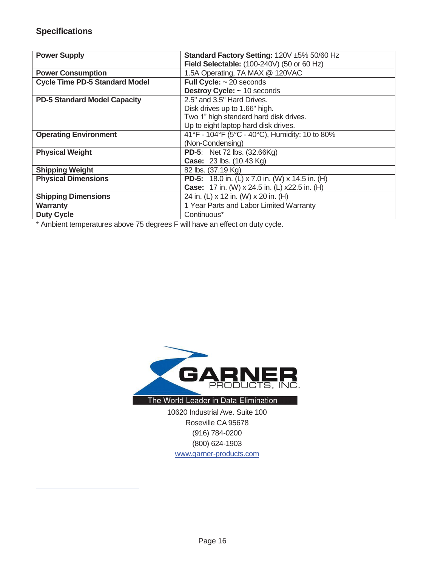$\overline{a}$ 

| <b>Power Supply</b>                   | Standard Factory Setting: 120V ±5% 50/60 Hz            |
|---------------------------------------|--------------------------------------------------------|
|                                       | Field Selectable: (100-240V) (50 or 60 Hz)             |
| <b>Power Consumption</b>              | 1.5A Operating, 7A MAX @ 120VAC                        |
| <b>Cycle Time PD-5 Standard Model</b> | Full Cycle: $\sim$ 20 seconds                          |
|                                       | Destroy Cycle: ~ 10 seconds                            |
| <b>PD-5 Standard Model Capacity</b>   | 2.5" and 3.5" Hard Drives.                             |
|                                       | Disk drives up to 1.66" high.                          |
|                                       | Two 1" high standard hard disk drives.                 |
|                                       | Up to eight laptop hard disk drives.                   |
| <b>Operating Environment</b>          | 41°F - 104°F (5°C - 40°C), Humidity: 10 to 80%         |
|                                       | (Non-Condensing)                                       |
| <b>Physical Weight</b>                | <b>PD-5:</b> Net 72 lbs. (32.66Kg)                     |
|                                       | <b>Case: 23 lbs. (10.43 Kg)</b>                        |
| <b>Shipping Weight</b>                | 82 lbs. (37.19 Kg)                                     |
| <b>Physical Dimensions</b>            | <b>PD-5:</b> 18.0 in. (L) x 7.0 in. (W) x 14.5 in. (H) |
|                                       | <b>Case:</b> 17 in. (W) x 24.5 in. (L) x22.5 in. (H)   |
| <b>Shipping Dimensions</b>            | 24 in. (L) x 12 in. (W) x 20 in. (H)                   |
| <b>Warranty</b>                       | 1 Year Parts and Labor Limited Warranty                |
| <b>Duty Cycle</b>                     | Continuous*                                            |

\* Ambient temperatures above 75 degrees F will have an effect on duty cycle.



The World Leader in Data Elimination

10620 Industrial Ave. Suite 100 Roseville CA 95678 (916) 784-0200 (800) 624-1903 www.garner-products.com